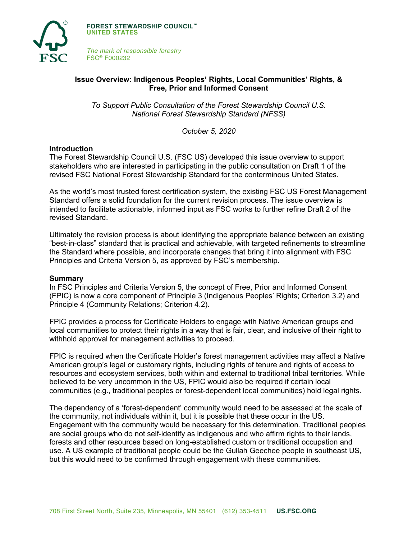

**FOREST STEWARDSHIP COUNCIL™ UNITED STATES**

*The mark of responsible forestry* FSC® F000232

# **Issue Overview: Indigenous Peoples' Rights, Local Communities' Rights, & Free, Prior and Informed Consent**

*To Support Public Consultation of the Forest Stewardship Council U.S. National Forest Stewardship Standard (NFSS)*

*October 5, 2020*

## **Introduction**

The Forest Stewardship Council U.S. (FSC US) developed this issue overview to support stakeholders who are interested in participating in the public consultation on Draft 1 of the revised FSC National Forest Stewardship Standard for the conterminous United States.

As the world's most trusted forest certification system, the existing FSC US Forest Management Standard offers a solid foundation for the current revision process. The issue overview is intended to facilitate actionable, informed input as FSC works to further refine Draft 2 of the revised Standard.

Ultimately the revision process is about identifying the appropriate balance between an existing "best-in-class" standard that is practical and achievable, with targeted refinements to streamline the Standard where possible, and incorporate changes that bring it into alignment with FSC Principles and Criteria Version 5, as approved by FSC's membership.

### **Summary**

In FSC Principles and Criteria Version 5, the concept of Free, Prior and Informed Consent (FPIC) is now a core component of Principle 3 (Indigenous Peoples' Rights; Criterion 3.2) and Principle 4 (Community Relations; Criterion 4.2).

FPIC provides a process for Certificate Holders to engage with Native American groups and local communities to protect their rights in a way that is fair, clear, and inclusive of their right to withhold approval for management activities to proceed.

FPIC is required when the Certificate Holder's forest management activities may affect a Native American group's legal or customary rights, including rights of tenure and rights of access to resources and ecosystem services, both within and external to traditional tribal territories. While believed to be very uncommon in the US, FPIC would also be required if certain local communities (e.g., traditional peoples or forest-dependent local communities) hold legal rights.

The dependency of a 'forest-dependent' community would need to be assessed at the scale of the community, not individuals within it, but it is possible that these occur in the US. Engagement with the community would be necessary for this determination. Traditional peoples are social groups who do not self-identify as indigenous and who affirm rights to their lands, forests and other resources based on long-established custom or traditional occupation and use. A US example of traditional people could be the Gullah Geechee people in southeast US, but this would need to be confirmed through engagement with these communities.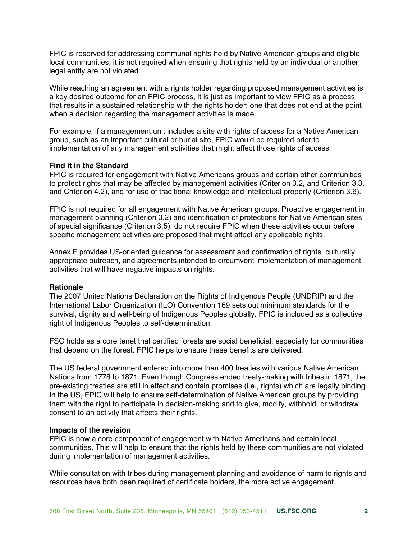FPIC is reserved for addressing communal rights held by Native American groups and eligible local communities; it is not required when ensuring that rights held by an individual or another legal entity are not violated.

While reaching an agreement with a rights holder regarding proposed management activities is a key desired outcome for an FPIC process, it is just as important to view FPIC as a process that results in a sustained relationship with the rights holder; one that does not end at the point when a decision regarding the management activities is made.

For example, if a management unit includes a site with rights of access for a Native American group, such as an important cultural or burial site, FPIC would be required prior to implementation of any management activities that might affect those rights of access.

## **Find it in the Standard**

FPIC is required for engagement with Native Americans groups and certain other communities to protect rights that may be affected by management activities (Criterion 3.2, and Criterion 3.3, and Criterion 4.2), and for use of traditional knowledge and intellectual property (Criterion 3.6).

FPIC is not required for all engagement with Native American groups. Proactive engagement in management planning (Criterion 3.2) and identification of protections for Native American sites of special significance (Criterion 3.5), do not require FPIC when these activities occur before specific management activities are proposed that might affect any applicable rights.

Annex F provides US-oriented guidance for assessment and confirmation of rights, culturally appropriate outreach, and agreements intended to circumvent implementation of management activities that will have negative impacts on rights.

### **Rationale**

The 2007 United Nations Declaration on the Rights of Indigenous People (UNDRIP) and the International Labor Organization (ILO) Convention 169 sets out minimum standards for the survival, dignity and well-being of Indigenous Peoples globally. FPIC is included as a collective right of Indigenous Peoples to self-determination.

FSC holds as a core tenet that certified forests are social beneficial, especially for communities that depend on the forest. FPIC helps to ensure these benefits are delivered.

The US federal government entered into more than 400 treaties with various Native American Nations from 1778 to 1871. Even though Congress ended treaty-making with tribes in 1871, the pre-existing treaties are still in effect and contain promises (i.e., rights) which are legally binding. In the US, FPIC will help to ensure self-determination of Native American groups by providing them with the right to participate in decision-making and to give, modify, withhold, or withdraw consent to an activity that affects their rights.

#### **Impacts of the revision**

FPIC is now a core component of engagement with Native Americans and certain local communities. This will help to ensure that the rights held by these communities are not violated during implementation of management activities.

While consultation with tribes during management planning and avoidance of harm to rights and resources have both been required of certificate holders, the more active engagement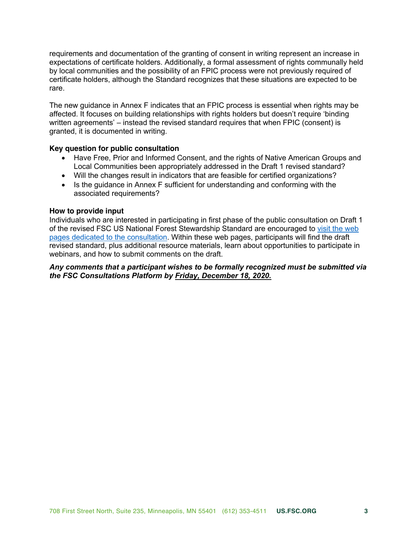requirements and documentation of the granting of consent in writing represent an increase in expectations of certificate holders. Additionally, a formal assessment of rights communally held by local communities and the possibility of an FPIC process were not previously required of certificate holders, although the Standard recognizes that these situations are expected to be rare.

The new guidance in Annex F indicates that an FPIC process is essential when rights may be affected. It focuses on building relationships with rights holders but doesn't require 'binding written agreements' – instead the revised standard requires that when FPIC (consent) is granted, it is documented in writing.

### **Key question for public consultation**

- Have Free, Prior and Informed Consent, and the rights of Native American Groups and Local Communities been appropriately addressed in the Draft 1 revised standard?
- Will the changes result in indicators that are feasible for certified organizations?
- Is the guidance in Annex F sufficient for understanding and conforming with the associated requirements?

## **How to provide input**

Individuals who are interested in participating in first phase of the public consultation on Draft 1 of the revised FSC US National Forest Stewardship Standard are encouraged to visit the web [pages dedicated to the consultation. Within these web pages, participants will find the draft](https://www.engage.us.fsc.org/)  revised standard, plus additional resource materials, learn about opportunities to participate in webinars, and how to submit comments on the draft.

## *Any comments that a participant wishes to be formally recognized must be submitted via the FSC Consultations Platform by Friday, December 18, 2020.*